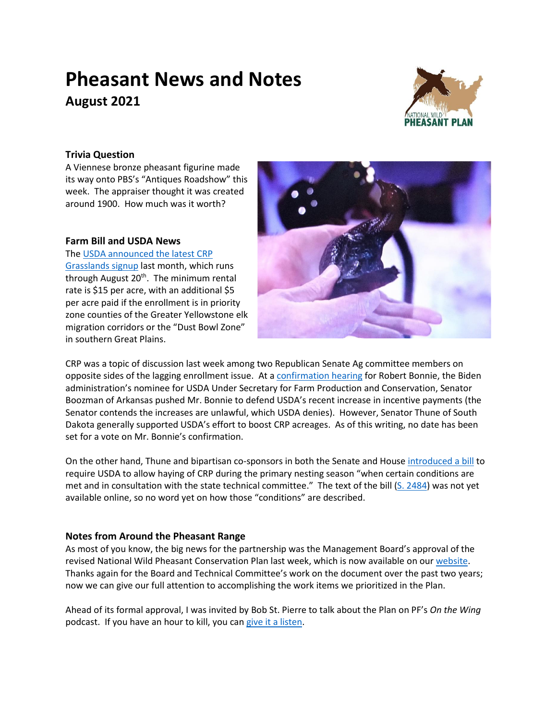# **Pheasant News and Notes August 2021**



## **Trivia Question**

A Viennese bronze pheasant figurine made its way onto PBS's "Antiques Roadshow" this week. The appraiser thought it was created around 1900. How much was it worth?

#### **Farm Bill and USDA News**

The [USDA announced](https://www.fsa.usda.gov/news-room/news-releases/2021/usda-announces-dates-for-conservation-reserve-program-grasslands-signups?utm_campaign=conservationreserveprogram&utm_content=grasslands&utm_medium=email&utm_source=govdelivery) the latest CRP [Grasslands signup](https://www.fsa.usda.gov/news-room/news-releases/2021/usda-announces-dates-for-conservation-reserve-program-grasslands-signups?utm_campaign=conservationreserveprogram&utm_content=grasslands&utm_medium=email&utm_source=govdelivery) last month, which runs through August 20<sup>th</sup>. The minimum rental rate is \$15 per acre, with an additional \$5 per acre paid if the enrollment is in priority zone counties of the Greater Yellowstone elk migration corridors or the "Dust Bowl Zone" in southern Great Plains.



CRP was a topic of discussion last week among two Republican Senate Ag committee members on opposite sides of the lagging enrollment issue. At a [confirmation hearing](https://www.agri-pulse.com/articles/16249-bonnie-defends-using-ccc-for-climate-says-policy-must-work-for-farmers) for Robert Bonnie, the Biden administration's nominee for USDA Under Secretary for Farm Production and Conservation, Senator Boozman of Arkansas pushed Mr. Bonnie to defend USDA's recent increase in incentive payments (the Senator contends the increases are unlawful, which USDA denies). However, Senator Thune of South Dakota generally supported USDA's effort to boost CRP acreages. As of this writing, no date has been set for a vote on Mr. Bonnie's confirmation.

On the other hand, Thune and bipartisan co-sponsors in both the Senate and House [introduced a bill](https://www.thune.senate.gov/public/index.cfm/press-releases?ID=34916D26-ABEF-458B-9BED-BD0C5A5CE0DD) to require USDA to allow haying of CRP during the primary nesting season "when certain conditions are met and in consultation with the state technical committee." The text of the bill [\(S. 2484\)](https://www.congress.gov/bill/117th-congress/senate-bill/2484?q=%7B%22search%22%3A%5B%22thune%22%5D%7D&r=30&s=2) was not yet available online, so no word yet on how those "conditions" are described.

## **Notes from Around the Pheasant Range**

As most of you know, the big news for the partnership was the Management Board's approval of the revised National Wild Pheasant Conservation Plan last week, which is now available on our [website.](https://nationalpheasantplan.org/national-plan/) Thanks again for the Board and Technical Committee's work on the document over the past two years; now we can give our full attention to accomplishing the work items we prioritized in the Plan.

Ahead of its formal approval, I was invited by Bob St. Pierre to talk about the Plan on PF's *On the Wing* podcast. If you have an hour to kill, you can [give it a listen.](https://soundcloud.com/onthewingpodcast/podcast-ep-124-national-pheasant-plan-and-current-drought-with-dr-scott-taylor)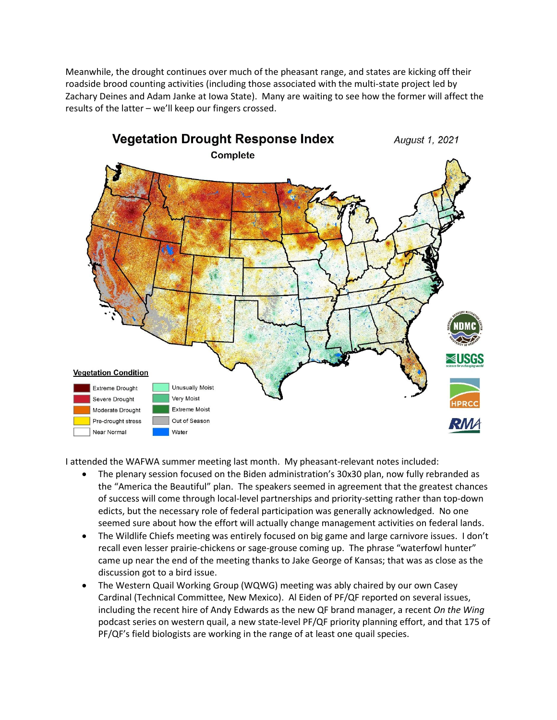Meanwhile, the drought continues over much of the pheasant range, and states are kicking off their roadside brood counting activities (including those associated with the multi-state project led by Zachary Deines and Adam Janke at Iowa State). Many are waiting to see how the former will affect the results of the latter – we'll keep our fingers crossed.



I attended the WAFWA summer meeting last month. My pheasant-relevant notes included:

- The plenary session focused on the Biden administration's 30x30 plan, now fully rebranded as the "America the Beautiful" plan. The speakers seemed in agreement that the greatest chances of success will come through local-level partnerships and priority-setting rather than top-down edicts, but the necessary role of federal participation was generally acknowledged. No one seemed sure about how the effort will actually change management activities on federal lands.
- The Wildlife Chiefs meeting was entirely focused on big game and large carnivore issues. I don't recall even lesser prairie-chickens or sage-grouse coming up. The phrase "waterfowl hunter" came up near the end of the meeting thanks to Jake George of Kansas; that was as close as the discussion got to a bird issue.
- The Western Quail Working Group (WQWG) meeting was ably chaired by our own Casey Cardinal (Technical Committee, New Mexico). Al Eiden of PF/QF reported on several issues, including the recent hire of Andy Edwards as the new QF brand manager, a recent *On the Wing* podcast series on western quail, a new state-level PF/QF priority planning effort, and that 175 of PF/QF's field biologists are working in the range of at least one quail species.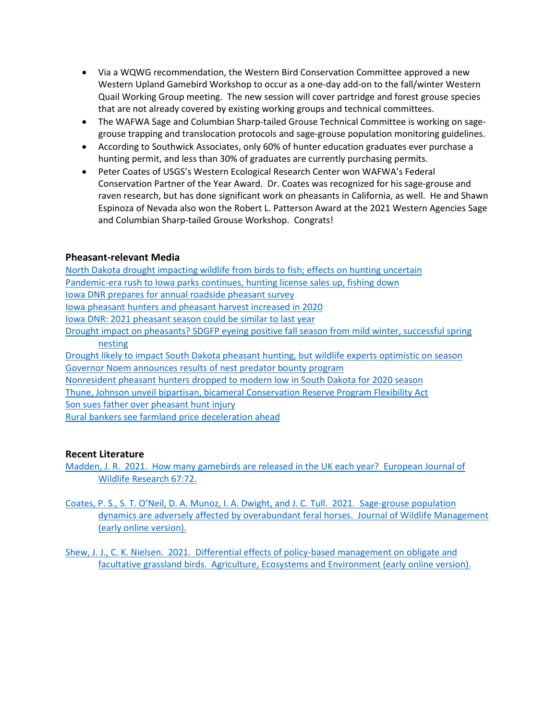- Via a WQWG recommendation, the Western Bird Conservation Committee approved a new Western Upland Gamebird Workshop to occur as a one-day add-on to the fall/winter Western Quail Working Group meeting. The new session will cover partridge and forest grouse species that are not already covered by existing working groups and technical committees.
- The WAFWA Sage and Columbian Sharp-tailed Grouse Technical Committee is working on sagegrouse trapping and translocation protocols and sage-grouse population monitoring guidelines.
- According to Southwick Associates, only 60% of hunter education graduates ever purchase a hunting permit, and less than 30% of graduates are currently purchasing permits.
- Peter Coates of USGS's Western Ecological Research Center won WAFWA's Federal Conservation Partner of the Year Award. Dr. Coates was recognized for his sage-grouse and raven research, but has done significant work on pheasants in California, as well. He and Shawn Espinoza of Nevada also won the Robert L. Patterson Award at the 2021 Western Agencies Sage and Columbian Sharp-tailed Grouse Workshop. Congrats!

#### **Pheasant-relevant Media**

[North Dakota drought impacting wildlife from birds to fish; effects on hunting uncertain](https://bismarcktribune.com/news/local/weather/parched-plains-north-dakota-drought-impacting-wildlife-from-birds-to-fish-effects-on-hunting-uncertain/article_1b68f06f-1248-5e9c-a8f5-d78e2a89e1d0.html) [Pandemic-era rush to Iowa parks continues, hunting license sales up, fishing down](https://www.desmoinesregister.com/story/news/2021/07/26/iowa-dnr-state-park-visitors-hunting-licenses-fishing-licesnses-2021-department-natural-resources/8091538002/) [Iowa DNR prepares for annual roadside pheasant survey](https://www.kmaland.com/news/dnr-prepares-for-annual-roadside-pheasant-survey/article_12892320-f011-11eb-a598-0f463bf649c5.html) [Iowa pheasant hunters and pheasant harvest increased in 2020](https://www.redoakexpress.com/content/pheasant-hunters-and-pheasant-harvest-increased-2020) [Iowa DNR: 2021 pheasant season could be similar to last year](https://www.siouxlandproud.com/news/iowa-news/iowa-dnr-2021-pheasant-season-could-be-similar-to-last-year/) [Drought impact on pheasants? SDGFP eyeing positive fall season from mild winter, successful spring](https://www.keloland.com/keloland-com-original/drought-impact-on-pheasants-gfp-eyeing-positive-fall-season-from-mild-winter-successful-spring-nesting/)  [nesting](https://www.keloland.com/keloland-com-original/drought-impact-on-pheasants-gfp-eyeing-positive-fall-season-from-mild-winter-successful-spring-nesting/) [Drought likely to impact South Dakota pheasant hunting, but wildlife experts optimistic on season](https://www.parkrapidsenterprise.com/northland-outdoors/7113810-Drought-likely-to-impact-South-Dakota-pheasant-hunting-but-wildlife-experts-optimistic-on-season) Governor Noem [announces results of nest predator bounty program](https://news.sd.gov/newsitem.aspx?id=28316) [Nonresident pheasant hunters dropped to modern low in South Dakota for 2020 season](https://www.keloland.com/news/capitol-news-bureau/nonresident-pheasant-hunters-dropped-to-modern-low-in-south-dakota-for-2020-season/) [Thune, Johnson unveil bipartisan, bicameral Conservation Reserve Program Flexibility Act](https://riponadvance.com/stories/thune-johnson-unveil-bipartisan-bicameral-conservation-reserve-program-flexibility-act/) [Son sues father over pheasant hunt injury](https://www.michiganradio.org/post/appeals-court-wants-more-info-decide-inherent-risk-hunting-case)

[Rural bankers see farmland price deceleration](https://www.agweb.com/news/business/farmland/rural-bankers-see-farmland-price-decline-ahead) ahead

## **Recent Literature**

[Madden, J. R. 2021. How many gamebirds are released in the UK each year? European Journal of](https://link.springer.com/article/10.1007/s10344-021-01508-z)  [Wildlife Research](https://link.springer.com/article/10.1007/s10344-021-01508-z) 67:72.

- [Coates, P. S., S. T. O'Neil, D. A. Munoz, I. A. Dwight, and J. C. Tull. 2021.](https://doi.org/10.1002/jwmg.22089) Sage-grouse population [dynamics are adversely affected by overabundant feral horses. Journal of Wildlife Management](https://doi.org/10.1002/jwmg.22089)  [\(early online version\).](https://doi.org/10.1002/jwmg.22089)
- [Shew, J. J., C. K. Nielsen. 2021. Differential effects of policy-based management on obligate and](https://doi.org/10.1016/j.agee.2021.107411)  [facultative grassland birds. Agriculture, Ecosystems and Environment \(early online version\).](https://doi.org/10.1016/j.agee.2021.107411)